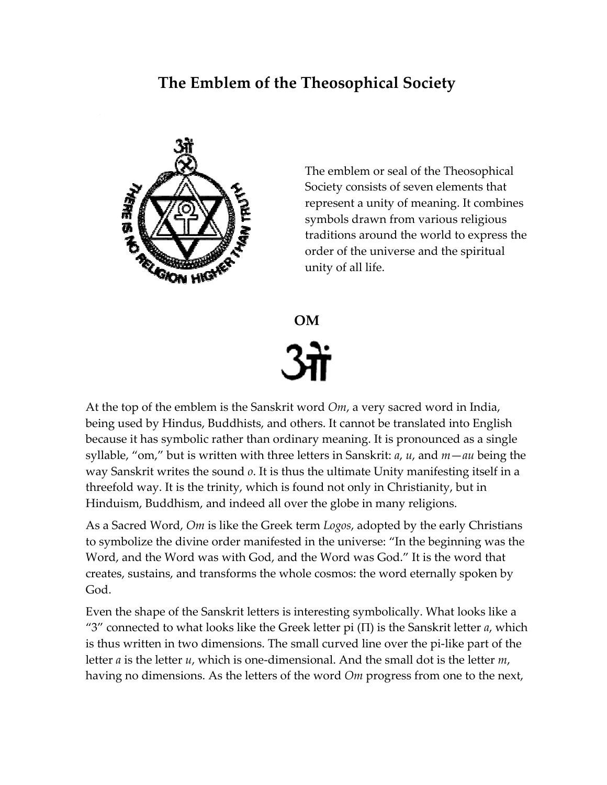# **The Emblem of the Theosophical Society**



The emblem or seal of the Theosophical Society consists of seven elements that represent a unity of meaning. It combines symbols drawn from various religious traditions around the world to express the order of the universe and the spiritual unity of all life.

**OM** 

At the top of the emblem is the Sanskrit word *Om*, a very sacred word in India, being used by Hindus, Buddhists, and others. It cannot be translated into English because it has symbolic rather than ordinary meaning. It is pronounced as a single syllable, "om," but is written with three letters in Sanskrit: *a*, *u*, and *m*—*au* being the way Sanskrit writes the sound *o*. It is thus the ultimate Unity manifesting itself in a threefold way. It is the trinity, which is found not only in Christianity, but in Hinduism, Buddhism, and indeed all over the globe in many religions.

As a Sacred Word, *Om* is like the Greek term *Logos*, adopted by the early Christians to symbolize the divine order manifested in the universe: "In the beginning was the Word, and the Word was with God, and the Word was God." It is the word that creates, sustains, and transforms the whole cosmos: the word eternally spoken by God.

Even the shape of the Sanskrit letters is interesting symbolically. What looks like a "3" connected to what looks like the Greek letter pi (Π) is the Sanskrit letter *a*, which is thus written in two dimensions. The small curved line over the pi-like part of the letter *a* is the letter *u*, which is one-dimensional. And the small dot is the letter *m*, having no dimensions. As the letters of the word *Om* progress from one to the next,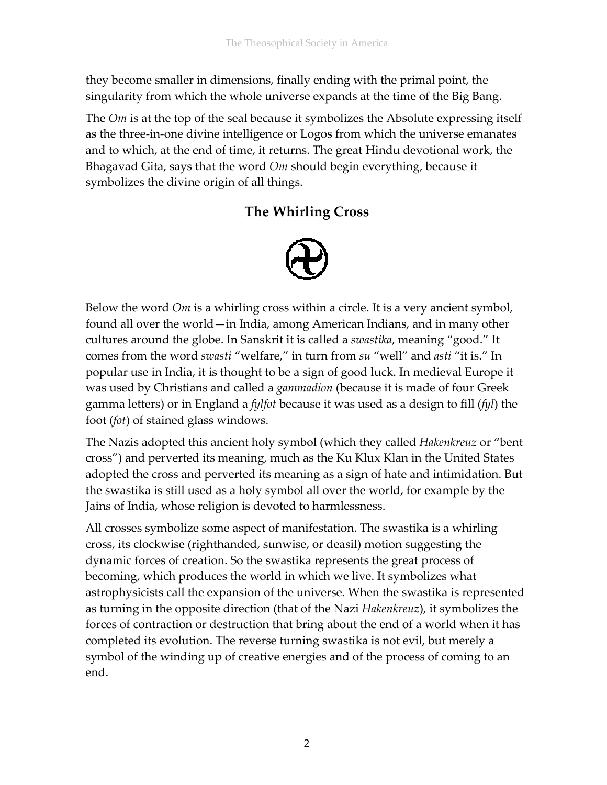they become smaller in dimensions, finally ending with the primal point, the singularity from which the whole universe expands at the time of the Big Bang.

The *Om* is at the top of the seal because it symbolizes the Absolute expressing itself as the three-in-one divine intelligence or Logos from which the universe emanates and to which, at the end of time, it returns. The great Hindu devotional work, the Bhagavad Gita, says that the word *Om* should begin everything, because it symbolizes the divine origin of all things.

# **The Whirling Cross**



Below the word *Om* is a whirling cross within a circle. It is a very ancient symbol, found all over the world—in India, among American Indians, and in many other cultures around the globe. In Sanskrit it is called a *swastika*, meaning "good." It comes from the word *swasti* "welfare," in turn from *su* "well" and *asti* "it is." In popular use in India, it is thought to be a sign of good luck. In medieval Europe it was used by Christians and called a *gammadion* (because it is made of four Greek gamma letters) or in England a *fylfot* because it was used as a design to fill (*fyl*) the foot (*fot*) of stained glass windows.

The Nazis adopted this ancient holy symbol (which they called *Hakenkreuz* or "bent cross") and perverted its meaning, much as the Ku Klux Klan in the United States adopted the cross and perverted its meaning as a sign of hate and intimidation. But the swastika is still used as a holy symbol all over the world, for example by the Jains of India, whose religion is devoted to harmlessness.

All crosses symbolize some aspect of manifestation. The swastika is a whirling cross, its clockwise (righthanded, sunwise, or deasil) motion suggesting the dynamic forces of creation. So the swastika represents the great process of becoming, which produces the world in which we live. It symbolizes what astrophysicists call the expansion of the universe. When the swastika is represented as turning in the opposite direction (that of the Nazi *Hakenkreuz*), it symbolizes the forces of contraction or destruction that bring about the end of a world when it has completed its evolution. The reverse turning swastika is not evil, but merely a symbol of the winding up of creative energies and of the process of coming to an end.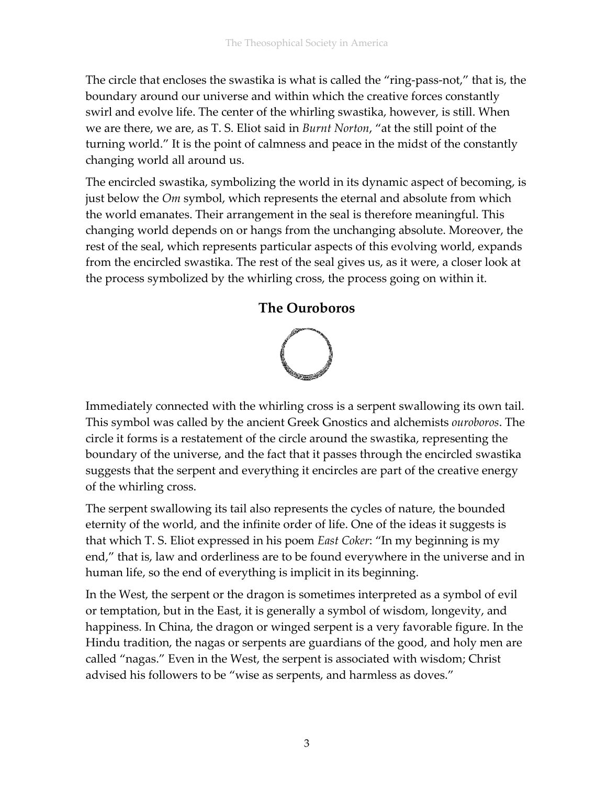The circle that encloses the swastika is what is called the "ring-pass-not," that is, the boundary around our universe and within which the creative forces constantly swirl and evolve life. The center of the whirling swastika, however, is still. When we are there, we are, as T. S. Eliot said in *Burnt Norton*, "at the still point of the turning world." It is the point of calmness and peace in the midst of the constantly changing world all around us.

The encircled swastika, symbolizing the world in its dynamic aspect of becoming, is just below the *Om* symbol, which represents the eternal and absolute from which the world emanates. Their arrangement in the seal is therefore meaningful. This changing world depends on or hangs from the unchanging absolute. Moreover, the rest of the seal, which represents particular aspects of this evolving world, expands from the encircled swastika. The rest of the seal gives us, as it were, a closer look at the process symbolized by the whirling cross, the process going on within it.

### **The Ouroboros**



Immediately connected with the whirling cross is a serpent swallowing its own tail. This symbol was called by the ancient Greek Gnostics and alchemists *ouroboros*. The circle it forms is a restatement of the circle around the swastika, representing the boundary of the universe, and the fact that it passes through the encircled swastika suggests that the serpent and everything it encircles are part of the creative energy of the whirling cross.

The serpent swallowing its tail also represents the cycles of nature, the bounded eternity of the world, and the infinite order of life. One of the ideas it suggests is that which T. S. Eliot expressed in his poem *East Coker*: "In my beginning is my end," that is, law and orderliness are to be found everywhere in the universe and in human life, so the end of everything is implicit in its beginning.

In the West, the serpent or the dragon is sometimes interpreted as a symbol of evil or temptation, but in the East, it is generally a symbol of wisdom, longevity, and happiness. In China, the dragon or winged serpent is a very favorable figure. In the Hindu tradition, the nagas or serpents are guardians of the good, and holy men are called "nagas." Even in the West, the serpent is associated with wisdom; Christ advised his followers to be "wise as serpents, and harmless as doves."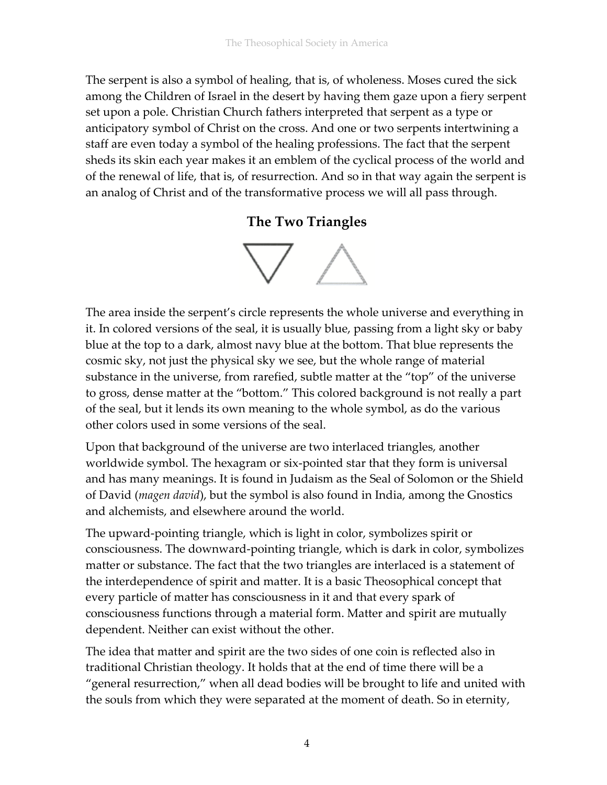The serpent is also a symbol of healing, that is, of wholeness. Moses cured the sick among the Children of Israel in the desert by having them gaze upon a fiery serpent set upon a pole. Christian Church fathers interpreted that serpent as a type or anticipatory symbol of Christ on the cross. And one or two serpents intertwining a staff are even today a symbol of the healing professions. The fact that the serpent sheds its skin each year makes it an emblem of the cyclical process of the world and of the renewal of life, that is, of resurrection. And so in that way again the serpent is an analog of Christ and of the transformative process we will all pass through.

### **The Two Triangles**



The area inside the serpent's circle represents the whole universe and everything in it. In colored versions of the seal, it is usually blue, passing from a light sky or baby blue at the top to a dark, almost navy blue at the bottom. That blue represents the cosmic sky, not just the physical sky we see, but the whole range of material substance in the universe, from rarefied, subtle matter at the "top" of the universe to gross, dense matter at the "bottom." This colored background is not really a part of the seal, but it lends its own meaning to the whole symbol, as do the various other colors used in some versions of the seal.

Upon that background of the universe are two interlaced triangles, another worldwide symbol. The hexagram or six-pointed star that they form is universal and has many meanings. It is found in Judaism as the Seal of Solomon or the Shield of David (*magen david*), but the symbol is also found in India, among the Gnostics and alchemists, and elsewhere around the world.

The upward-pointing triangle, which is light in color, symbolizes spirit or consciousness. The downward-pointing triangle, which is dark in color, symbolizes matter or substance. The fact that the two triangles are interlaced is a statement of the interdependence of spirit and matter. It is a basic Theosophical concept that every particle of matter has consciousness in it and that every spark of consciousness functions through a material form. Matter and spirit are mutually dependent. Neither can exist without the other.

The idea that matter and spirit are the two sides of one coin is reflected also in traditional Christian theology. It holds that at the end of time there will be a "general resurrection," when all dead bodies will be brought to life and united with the souls from which they were separated at the moment of death. So in eternity,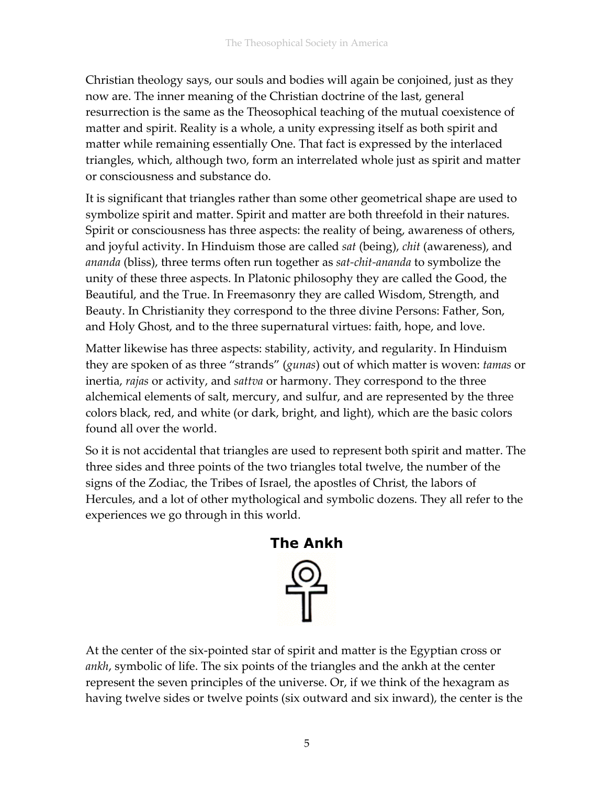Christian theology says, our souls and bodies will again be conjoined, just as they now are. The inner meaning of the Christian doctrine of the last, general resurrection is the same as the Theosophical teaching of the mutual coexistence of matter and spirit. Reality is a whole, a unity expressing itself as both spirit and matter while remaining essentially One. That fact is expressed by the interlaced triangles, which, although two, form an interrelated whole just as spirit and matter or consciousness and substance do.

It is significant that triangles rather than some other geometrical shape are used to symbolize spirit and matter. Spirit and matter are both threefold in their natures. Spirit or consciousness has three aspects: the reality of being, awareness of others, and joyful activity. In Hinduism those are called *sat* (being), *chit* (awareness), and *ananda* (bliss), three terms often run together as *sat-chit-ananda* to symbolize the unity of these three aspects. In Platonic philosophy they are called the Good, the Beautiful, and the True. In Freemasonry they are called Wisdom, Strength, and Beauty. In Christianity they correspond to the three divine Persons: Father, Son, and Holy Ghost, and to the three supernatural virtues: faith, hope, and love.

Matter likewise has three aspects: stability, activity, and regularity. In Hinduism they are spoken of as three "strands" (*gunas*) out of which matter is woven: *tamas* or inertia, *rajas* or activity, and *sattva* or harmony. They correspond to the three alchemical elements of salt, mercury, and sulfur, and are represented by the three colors black, red, and white (or dark, bright, and light), which are the basic colors found all over the world.

So it is not accidental that triangles are used to represent both spirit and matter. The three sides and three points of the two triangles total twelve, the number of the signs of the Zodiac, the Tribes of Israel, the apostles of Christ, the labors of Hercules, and a lot of other mythological and symbolic dozens. They all refer to the experiences we go through in this world.



At the center of the six-pointed star of spirit and matter is the Egyptian cross or *ankh*, symbolic of life. The six points of the triangles and the ankh at the center represent the seven principles of the universe. Or, if we think of the hexagram as having twelve sides or twelve points (six outward and six inward), the center is the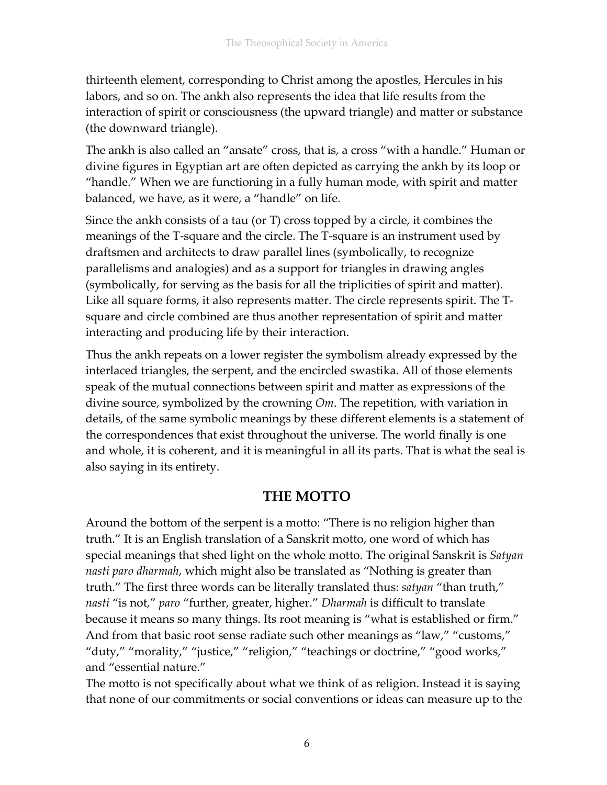thirteenth element, corresponding to Christ among the apostles, Hercules in his labors, and so on. The ankh also represents the idea that life results from the interaction of spirit or consciousness (the upward triangle) and matter or substance (the downward triangle).

The ankh is also called an "ansate" cross, that is, a cross "with a handle." Human or divine figures in Egyptian art are often depicted as carrying the ankh by its loop or "handle." When we are functioning in a fully human mode, with spirit and matter balanced, we have, as it were, a "handle" on life.

Since the ankh consists of a tau (or T) cross topped by a circle, it combines the meanings of the T-square and the circle. The T-square is an instrument used by draftsmen and architects to draw parallel lines (symbolically, to recognize parallelisms and analogies) and as a support for triangles in drawing angles (symbolically, for serving as the basis for all the triplicities of spirit and matter). Like all square forms, it also represents matter. The circle represents spirit. The Tsquare and circle combined are thus another representation of spirit and matter interacting and producing life by their interaction.

Thus the ankh repeats on a lower register the symbolism already expressed by the interlaced triangles, the serpent, and the encircled swastika. All of those elements speak of the mutual connections between spirit and matter as expressions of the divine source, symbolized by the crowning *Om*. The repetition, with variation in details, of the same symbolic meanings by these different elements is a statement of the correspondences that exist throughout the universe. The world finally is one and whole, it is coherent, and it is meaningful in all its parts. That is what the seal is also saying in its entirety.

### **THE MOTTO**

Around the bottom of the serpent is a motto: "There is no religion higher than truth." It is an English translation of a Sanskrit motto, one word of which has special meanings that shed light on the whole motto. The original Sanskrit is *Satyan nasti paro dharmah*, which might also be translated as "Nothing is greater than truth." The first three words can be literally translated thus: *satyan* "than truth," *nasti* "is not," *paro* "further, greater, higher." *Dharmah* is difficult to translate because it means so many things. Its root meaning is "what is established or firm." And from that basic root sense radiate such other meanings as "law," "customs," "duty," "morality," "justice," "religion," "teachings or doctrine," "good works," and "essential nature."

The motto is not specifically about what we think of as religion. Instead it is saying that none of our commitments or social conventions or ideas can measure up to the